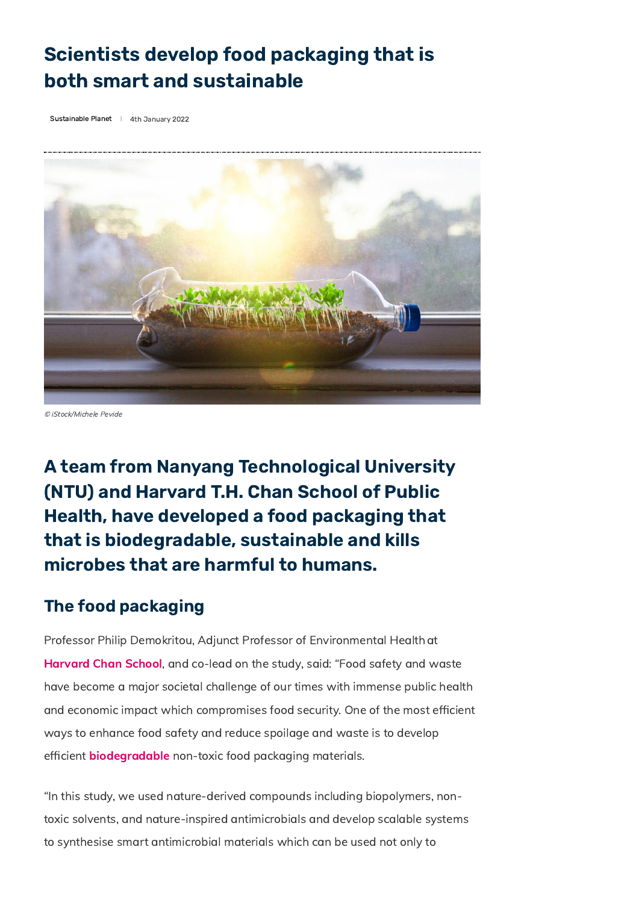## Scientists develop food packaging that is both smart and sustainable

[Sustainable](https://www.innovationnewsnetwork.com/category/sustainable-planet-news/) Planet | 4th January 2022



© iStock/Michele Pevide

A team from Nanyang Technological University (NTU) and Harvard T.H. Chan School of Public Health, have developed a food packaging that that is biodegradable, sustainable and kills microbes that are harmful to humans.

## The food packaging

Professor Philip Demokritou, Adjunct Professor of Environmental Healthat [Harvard](https://www.hsph.harvard.edu/) Chan School, and co-lead on the study, said: "Food safety and waste have become a major societal challenge of our times with immense public health and economic impact which compromises food security. One of the most efficient ways to enhance food safety and reduce spoilage and waste is to develop efficient **[biodegradable](https://www.innovationnewsnetwork.com/breaking-down-biodegradable-plastics-new-faster-process/10959/)** non-toxic food packaging materials.

"In this study, we used nature-derived compounds including biopolymers, nontoxic solvents, and nature-inspired antimicrobials and develop scalable systems to synthesise smart antimicrobial materials which can be used not only to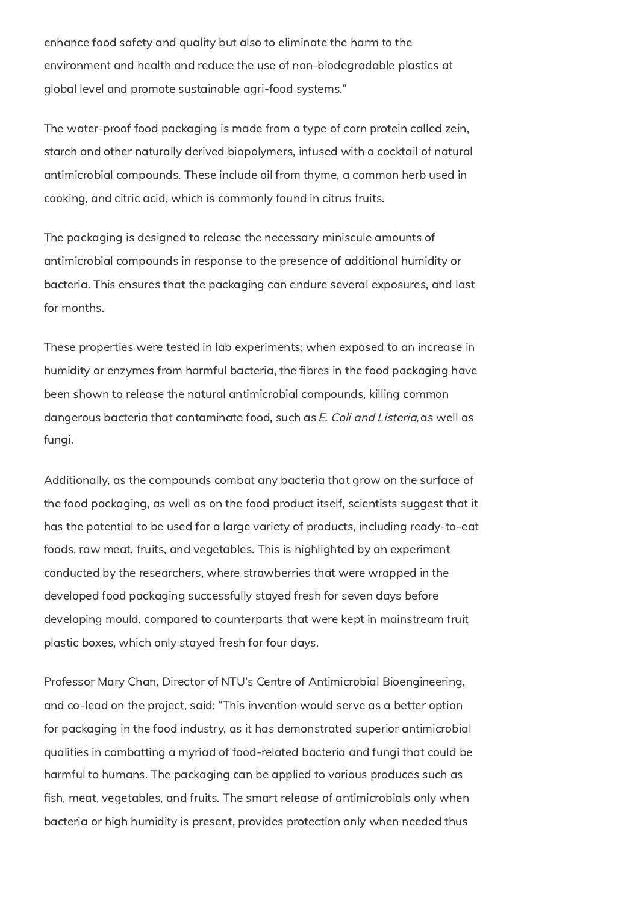enhance food safety and quality but also to eliminate the harm to the environment and health and reduce the use of non-biodegradable plastics at global level and promote sustainable agri-food systems."

The water-proof food packaging is made from a type of corn protein called zein, starch and other naturally derived biopolymers, infused with a cocktail of natural antimicrobial compounds. These include oil from thyme, a common herb used in cooking, and citric acid, which is commonly found in citrus fruits.

The packaging is designed to release the necessary miniscule amounts of antimicrobial compounds in response to the presence of additional humidity or bacteria. This ensures that the packaging can endure several exposures, and last for months.

These properties were tested in lab experiments; when exposed to an increase in humidity or enzymes from harmful bacteria, the fibres in the food packaging have been shown to release the natural antimicrobial compounds, killing common dangerous bacteria that contaminate food, such as E. Coli and Listeria, as well as fungi.

Additionally, as the compounds combat any bacteria that grow on the surface of the food packaging, as well as on the food product itself, scientists suggest that it has the potential to be used for a large variety of products, including ready-to-eat foods, raw meat, fruits, and vegetables. This is highlighted by an experiment conducted by the researchers, where strawberries that were wrapped in the developed food packaging successfully stayed fresh for seven days before developing mould, compared to counterparts that were kept in mainstream fruit plastic boxes, which only stayed fresh for four days.

Professor Mary Chan, Director of NTU's Centre of Antimicrobial Bioengineering, and co-lead on the project, said: "This invention would serve as a better option for packaging in the food industry, as it has demonstrated superior antimicrobial qualities in combatting a myriad of food-related bacteria and fungi that could be harmful to humans. The packaging can be applied to various produces such as fish, meat, vegetables, and fruits. The smart release of antimicrobials only when bacteria or high humidity is present, provides protection only when needed thus